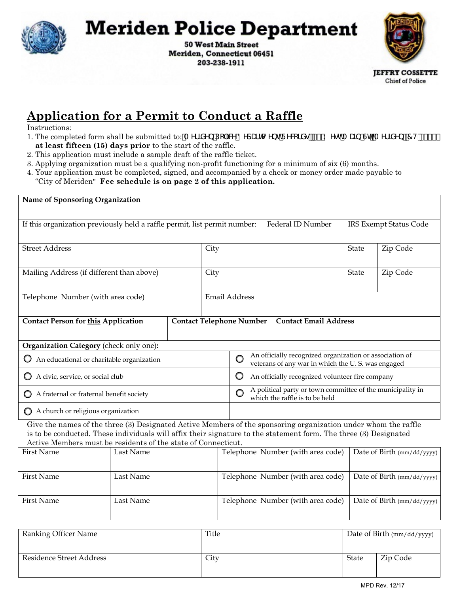

## **Meriden Police Department**

**50 West Main Street** Meriden, Connecticut 06451 203-238-1911



## **Application for a Permit to Conduct a Raffle**

Instructions:

- 1. The completed form shall be submitted to: A Yf X DC W8 YdUTh Yor Y WE YOU SK YenA U b GH' A Yf X Yb Z H S\* () % **at least fifteen (15) days prior** to the start of the raffle.
- 2. This application must include a sample draft of the raffle ticket.
- 3. Applying organization must be a qualifying non-profit functioning for a minimum of six (6) months.
- 4. Your application must be completed, signed, and accompanied by a check or money order made payable to "City of Meriden" **Fee schedule is on page 2 of this application.**

| Name of Sponsoring Organization                                                                                                                                                                                                                                                                     |           |                                                                                                   |                        |                                                                                                                   |                                   |                            |                            |  |  |
|-----------------------------------------------------------------------------------------------------------------------------------------------------------------------------------------------------------------------------------------------------------------------------------------------------|-----------|---------------------------------------------------------------------------------------------------|------------------------|-------------------------------------------------------------------------------------------------------------------|-----------------------------------|----------------------------|----------------------------|--|--|
| If this organization previously held a raffle permit, list permit number:                                                                                                                                                                                                                           |           | Federal ID Number                                                                                 | IRS Exempt Status Code |                                                                                                                   |                                   |                            |                            |  |  |
| <b>Street Address</b>                                                                                                                                                                                                                                                                               |           |                                                                                                   |                        | City                                                                                                              |                                   |                            | Zip Code                   |  |  |
| Mailing Address (if different than above)                                                                                                                                                                                                                                                           |           |                                                                                                   |                        |                                                                                                                   |                                   | State                      | Zip Code                   |  |  |
| Telephone Number (with area code)                                                                                                                                                                                                                                                                   |           |                                                                                                   |                        | Email Address                                                                                                     |                                   |                            |                            |  |  |
| <b>Contact Person for this Application</b>                                                                                                                                                                                                                                                          |           |                                                                                                   |                        | <b>Contact Email Address</b><br><b>Contact Telephone Number</b>                                                   |                                   |                            |                            |  |  |
| Organization Category (check only one):                                                                                                                                                                                                                                                             |           |                                                                                                   |                        |                                                                                                                   |                                   |                            |                            |  |  |
| An educational or charitable organization                                                                                                                                                                                                                                                           |           |                                                                                                   |                        | An officially recognized organization or association of<br>O<br>veterans of any war in which the U.S. was engaged |                                   |                            |                            |  |  |
| A civic, service, or social club                                                                                                                                                                                                                                                                    |           |                                                                                                   |                        | $\circ$<br>An officially recognized volunteer fire company                                                        |                                   |                            |                            |  |  |
| A fraternal or fraternal benefit society                                                                                                                                                                                                                                                            |           | A political party or town committee of the municipality in<br>O<br>which the raffle is to be held |                        |                                                                                                                   |                                   |                            |                            |  |  |
| $\bigcirc$ A church or religious organization                                                                                                                                                                                                                                                       |           |                                                                                                   |                        |                                                                                                                   |                                   |                            |                            |  |  |
| Give the names of the three (3) Designated Active Members of the sponsoring organization under whom the raffle<br>is to be conducted. These individuals will affix their signature to the statement form. The three (3) Designated<br>Active Members must be residents of the state of Connecticut. |           |                                                                                                   |                        |                                                                                                                   |                                   |                            |                            |  |  |
| <b>First Name</b>                                                                                                                                                                                                                                                                                   | Last Name |                                                                                                   |                        | Telephone Number (with area code)                                                                                 |                                   |                            | Date of Birth (mm/dd/yyyy) |  |  |
| <b>First Name</b>                                                                                                                                                                                                                                                                                   | Last Name |                                                                                                   |                        |                                                                                                                   | Telephone Number (with area code) | Date of Birth (mm/dd/yyyy) |                            |  |  |
| <b>First Name</b>                                                                                                                                                                                                                                                                                   | Last Name |                                                                                                   |                        |                                                                                                                   | Telephone Number (with area code) |                            | Date of Birth (mm/dd/yyyy) |  |  |
|                                                                                                                                                                                                                                                                                                     |           |                                                                                                   |                        |                                                                                                                   |                                   |                            |                            |  |  |

| Ranking Officer Name     | Title |       | $\Box$ Date of Birth (mm/dd/yyyy) |
|--------------------------|-------|-------|-----------------------------------|
| Residence Street Address | City  | State | Zip Code                          |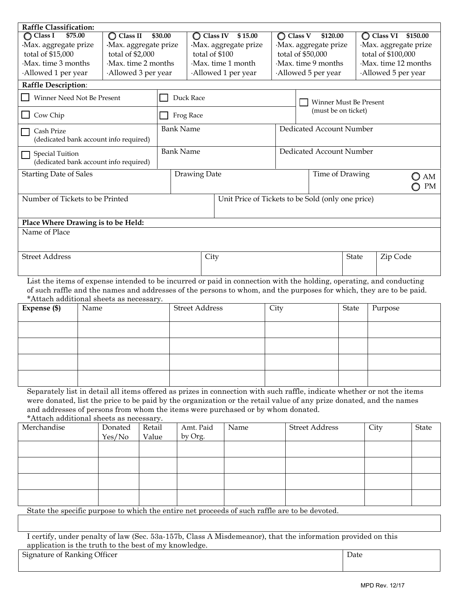| Raffle Classification:                                                                                                                                         |                                                                                               |                                |                                              |                       |                             |                                                   |                                               |                                |                             |                     |                     |              |
|----------------------------------------------------------------------------------------------------------------------------------------------------------------|-----------------------------------------------------------------------------------------------|--------------------------------|----------------------------------------------|-----------------------|-----------------------------|---------------------------------------------------|-----------------------------------------------|--------------------------------|-----------------------------|---------------------|---------------------|--------------|
| \$75.00<br>$\bigcirc$ Class I                                                                                                                                  |                                                                                               | $\bigcirc$ Class II<br>\$30.00 |                                              |                       | $\bigcirc$ Class IV \$15.00 |                                                   |                                               | $\bigcirc$ Class V<br>\$120.00 |                             |                     | C Class VI \$150.00 |              |
| Max. aggregate prize                                                                                                                                           |                                                                                               |                                | Max. aggregate prize<br>Max. aggregate prize |                       |                             |                                                   | ·Max. aggregate prize<br>Max. aggregate prize |                                |                             |                     |                     |              |
| total of \$15,000                                                                                                                                              |                                                                                               | total of \$2,000               |                                              | total of \$100        |                             |                                                   |                                               | total of \$50,000              |                             |                     | total of \$100,000  |              |
| Max. time 3 months                                                                                                                                             |                                                                                               | Max. time 2 months             |                                              | Max. time 1 month     |                             |                                                   | Max. time 9 months                            |                                |                             | Max. time 12 months |                     |              |
| Allowed 1 per year                                                                                                                                             |                                                                                               | Allowed 3 per year             |                                              |                       |                             | Allowed 1 per year                                |                                               | Allowed 5 per year             |                             |                     | Allowed 5 per year  |              |
| <b>Raffle Description:</b>                                                                                                                                     |                                                                                               |                                |                                              |                       |                             |                                                   |                                               |                                |                             |                     |                     |              |
| Winner Need Not Be Present                                                                                                                                     |                                                                                               |                                |                                              | Duck Race             |                             |                                                   |                                               | Winner Must Be Present         |                             |                     |                     |              |
| Cow Chip                                                                                                                                                       |                                                                                               |                                |                                              | Frog Race             |                             |                                                   |                                               | (must be on ticket)            |                             |                     |                     |              |
| Cash Prize<br>(dedicated bank account info required)                                                                                                           |                                                                                               |                                |                                              | <b>Bank Name</b>      |                             |                                                   |                                               | Dedicated Account Number       |                             |                     |                     |              |
| <b>Special Tuition</b><br>(dedicated bank account info required)                                                                                               |                                                                                               |                                |                                              | <b>Bank Name</b>      |                             |                                                   |                                               | Dedicated Account Number       |                             |                     |                     |              |
| <b>Starting Date of Sales</b>                                                                                                                                  |                                                                                               |                                |                                              | Drawing Date          |                             |                                                   |                                               |                                | Time of Drawing<br>AM<br>PM |                     |                     |              |
| Number of Tickets to be Printed                                                                                                                                |                                                                                               |                                |                                              |                       |                             | Unit Price of Tickets to be Sold (only one price) |                                               |                                |                             |                     |                     |              |
|                                                                                                                                                                |                                                                                               |                                |                                              |                       |                             |                                                   |                                               |                                |                             |                     |                     |              |
| Place Where Drawing is to be Held:<br>Name of Place                                                                                                            |                                                                                               |                                |                                              |                       |                             |                                                   |                                               |                                |                             |                     |                     |              |
|                                                                                                                                                                |                                                                                               |                                |                                              |                       |                             |                                                   |                                               |                                |                             |                     |                     |              |
| <b>Street Address</b>                                                                                                                                          |                                                                                               |                                |                                              | City                  |                             |                                                   |                                               | Zip Code<br><b>State</b>       |                             |                     |                     |              |
| List the items of expense intended to be incurred or paid in connection with the holding, operating, and conducting                                            |                                                                                               |                                |                                              |                       |                             |                                                   |                                               |                                |                             |                     |                     |              |
| of such raffle and the names and addresses of the persons to whom, and the purposes for which, they are to be paid.<br>*Attach additional sheets as necessary. |                                                                                               |                                |                                              |                       |                             |                                                   |                                               |                                |                             |                     |                     |              |
| Expense (\$)<br>Name                                                                                                                                           |                                                                                               |                                |                                              | <b>Street Address</b> |                             |                                                   | City                                          | <b>State</b>                   |                             |                     | Purpose             |              |
|                                                                                                                                                                |                                                                                               |                                |                                              |                       |                             |                                                   |                                               |                                |                             |                     |                     |              |
|                                                                                                                                                                |                                                                                               |                                |                                              |                       |                             |                                                   |                                               |                                |                             |                     |                     |              |
|                                                                                                                                                                |                                                                                               |                                |                                              |                       |                             |                                                   |                                               |                                |                             |                     |                     |              |
|                                                                                                                                                                |                                                                                               |                                |                                              |                       |                             |                                                   |                                               |                                |                             |                     |                     |              |
| Separately list in detail all items offered as prizes in connection with such raffle, indicate whether or not the items                                        |                                                                                               |                                |                                              |                       |                             |                                                   |                                               |                                |                             |                     |                     |              |
| were donated, list the price to be paid by the organization or the retail value of any prize donated, and the names                                            |                                                                                               |                                |                                              |                       |                             |                                                   |                                               |                                |                             |                     |                     |              |
| and addresses of persons from whom the items were purchased or by whom donated.                                                                                |                                                                                               |                                |                                              |                       |                             |                                                   |                                               |                                |                             |                     |                     |              |
| *Attach additional sheets as necessary.<br>Merchandise                                                                                                         |                                                                                               | Donated                        | Retail                                       |                       | Amt. Paid                   | Name                                              |                                               | <b>Street Address</b>          |                             |                     |                     |              |
|                                                                                                                                                                |                                                                                               | Yes/No                         | Value                                        |                       | by Org.                     |                                                   |                                               |                                |                             | City                |                     | <b>State</b> |
|                                                                                                                                                                |                                                                                               |                                |                                              |                       |                             |                                                   |                                               |                                |                             |                     |                     |              |
|                                                                                                                                                                |                                                                                               |                                |                                              |                       |                             |                                                   |                                               |                                |                             |                     |                     |              |
|                                                                                                                                                                |                                                                                               |                                |                                              |                       |                             |                                                   |                                               |                                |                             |                     |                     |              |
|                                                                                                                                                                |                                                                                               |                                |                                              |                       |                             |                                                   |                                               |                                |                             |                     |                     |              |
|                                                                                                                                                                |                                                                                               |                                |                                              |                       |                             |                                                   |                                               |                                |                             |                     |                     |              |
|                                                                                                                                                                | State the specific purpose to which the entire net proceeds of such raffle are to be devoted. |                                |                                              |                       |                             |                                                   |                                               |                                |                             |                     |                     |              |
|                                                                                                                                                                |                                                                                               |                                |                                              |                       |                             |                                                   |                                               |                                |                             |                     |                     |              |
| Looptify under penalty of law (See, 530, 157b, Class A Misdemanor) that the information provided on this                                                       |                                                                                               |                                |                                              |                       |                             |                                                   |                                               |                                |                             |                     |                     |              |

I certify, under penalty of law (Sec. 53a-157b, Class A Misdemeanor), that the information provided on this application is the truth to the best of my knowledge.

Signature of Ranking Officer Date